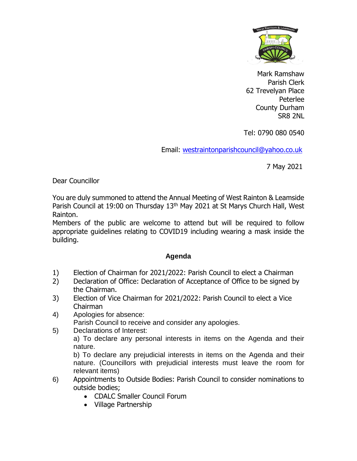

Mark Ramshaw Parish Clerk 62 Trevelyan Place Peterlee County Durham SR8 2NL

Tel: 0790 080 0540

Email: [westraintonparishcouncil@yahoo.co.uk](mailto:westraintonparishcouncil@yahoo.co.uk) 

7 May 2021

Dear Councillor

You are duly summoned to attend the Annual Meeting of West Rainton & Leamside Parish Council at 19:00 on Thursday 13<sup>th</sup> May 2021 at St Marys Church Hall, West Rainton.

Members of the public are welcome to attend but will be required to follow appropriate guidelines relating to COVID19 including wearing a mask inside the building.

## **Agenda**

- 1) Election of Chairman for 2021/2022: Parish Council to elect a Chairman
- 2) Declaration of Office: Declaration of Acceptance of Office to be signed by the Chairman.
- 3) Election of Vice Chairman for 2021/2022: Parish Council to elect a Vice Chairman
- 4) Apologies for absence: Parish Council to receive and consider any apologies.
- 5) Declarations of Interest:

a) To declare any personal interests in items on the Agenda and their nature.

b) To declare any prejudicial interests in items on the Agenda and their nature. (Councillors with prejudicial interests must leave the room for relevant items)

- 6) Appointments to Outside Bodies: Parish Council to consider nominations to outside bodies;
	- CDALC Smaller Council Forum
	- Village Partnership